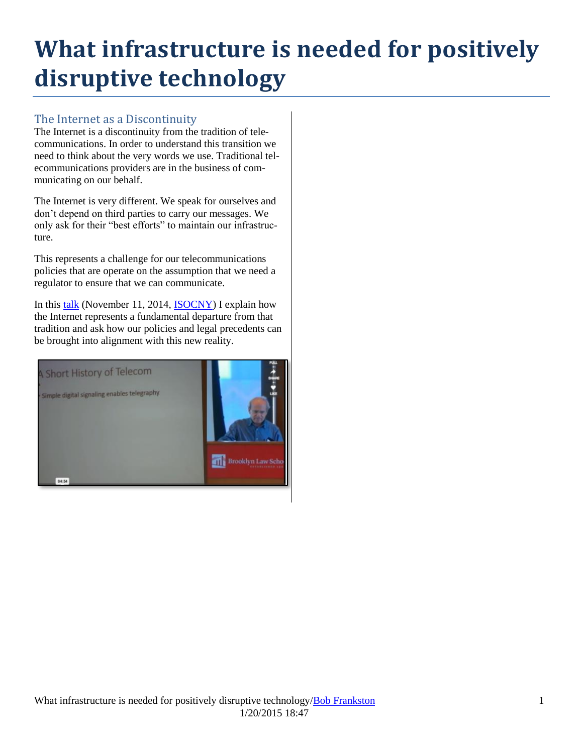## **What infrastructure is needed for positively disruptive technology**

## The Internet as a Discontinuity

The Internet is a discontinuity from the tradition of telecommunications. In order to understand this transition we need to think about the very words we use. Traditional telecommunications providers are in the business of communicating on our behalf.

The Internet is very different. We speak for ourselves and don't depend on third parties to carry our messages. We only ask for their "best efforts" to maintain our infrastructure.

This represents a challenge for our telecommunications policies that are operate on the assumption that we need a regulator to ensure that we can communicate.

In this [talk](http://new.livestream.com/internetsociety/isocnypositivedisrupt/videos/68046349) (November 11, 2014[, ISOCNY\)](http://www.meetup.com/isoc-ny/events/216549492/) I explain how the Internet represents a fundamental departure from that tradition and ask how our policies and legal precedents can be brought into alignment with this new reality.

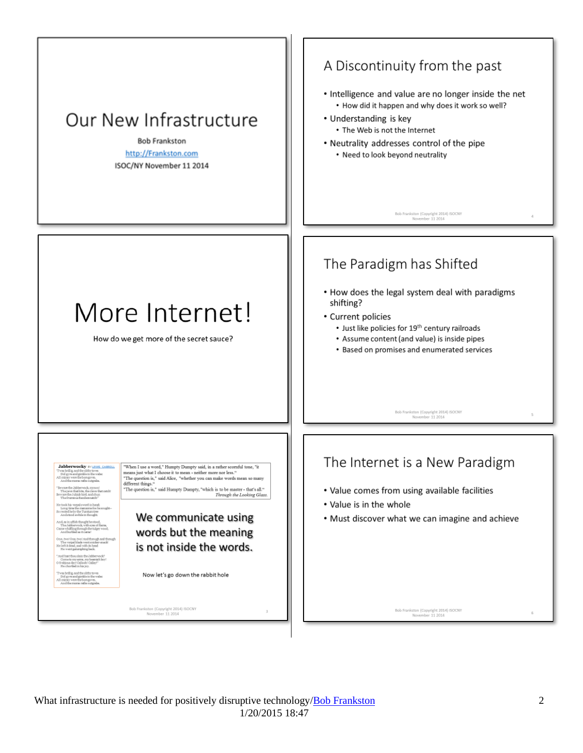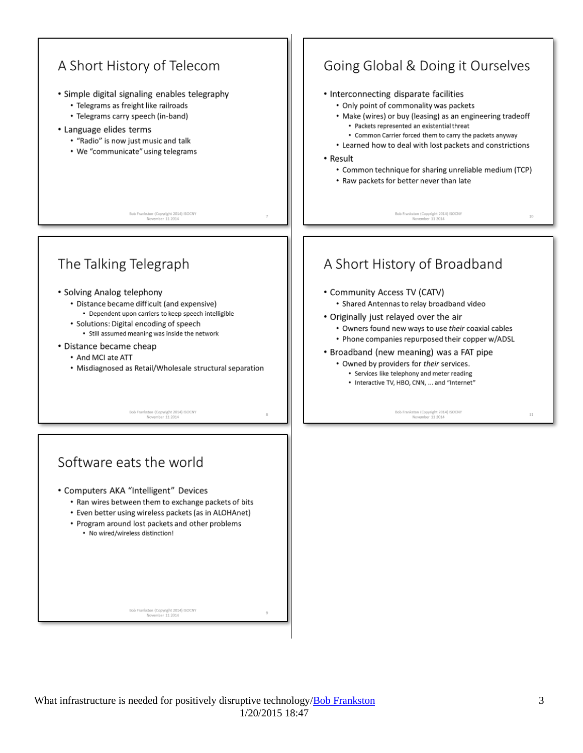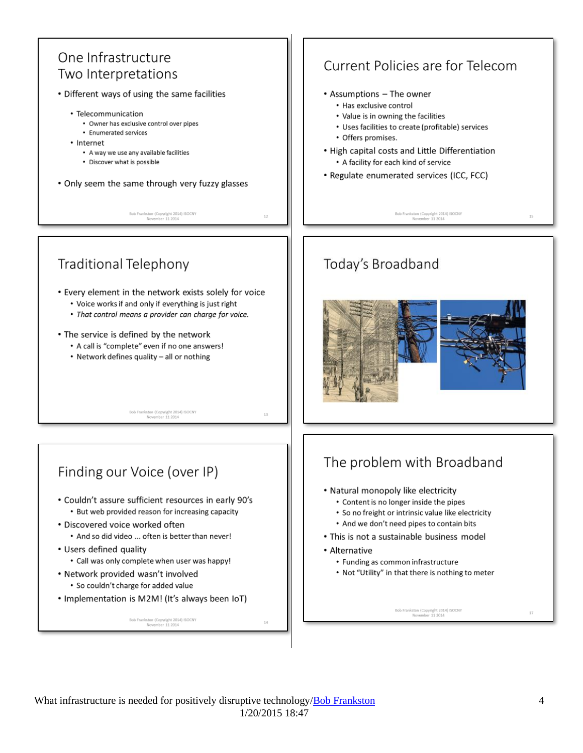